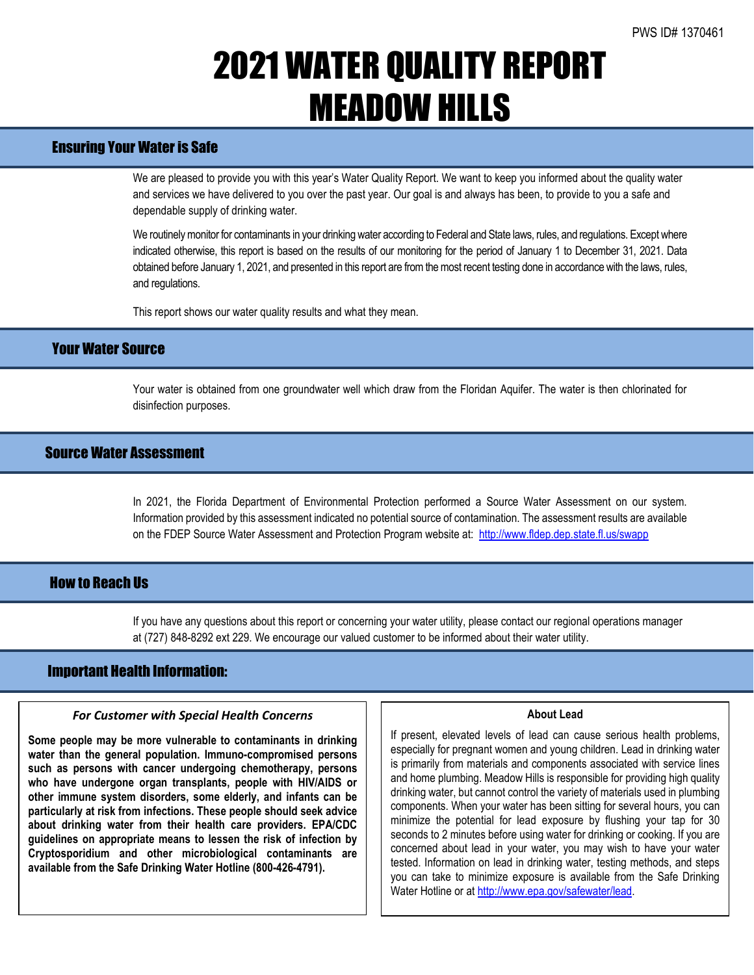# 2021 WATER QUALITY REPORT MEADOW HILLS

## Ensuring Your Water is Safe

We are pleased to provide you with this year's Water Quality Report. We want to keep you informed about the quality water and services we have delivered to you over the past year. Our goal is and always has been, to provide to you a safe and dependable supply of drinking water.

We routinely monitor for contaminants in your drinking water according to Federal and State laws, rules, and regulations. Except where indicated otherwise, this report is based on the results of our monitoring for the period of January 1 to December 31, 2021. Data obtained before January 1, 2021, and presented in this report are from the most recent testing done in accordance with the laws, rules, and regulations.

This report shows our water quality results and what they mean.

## Your Water Source

Your water is obtained from one groundwater well which draw from the Floridan Aquifer. The water is then chlorinated for disinfection purposes.

## Source Water Assessment

In 2021, the Florida Department of Environmental Protection performed a Source Water Assessment on our system. Information provided by this assessment indicated no potential source of contamination. The assessment results are available on the FDEP Source Water Assessment and Protection Program website at: <http://www.fldep.dep.state.fl.us/swapp>

## **How to Reach IIs**

If you have any questions about this report or concerning your water utility, please contact our regional operations manager at (727) 848-8292 ext 229. We encourage our valued customer to be informed about their water utility.

## Important Health Information:

l

#### *For Customer with Special Health Concerns*

**Some people may be more vulnerable to contaminants in drinking water than the general population. Immuno-compromised persons such as persons with cancer undergoing chemotherapy, persons who have undergone organ transplants, people with HIV/AIDS or other immune system disorders, some elderly, and infants can be particularly at risk from infections. These people should seek advice about drinking water from their health care providers. EPA/CDC guidelines on appropriate means to lessen the risk of infection by Cryptosporidium and other microbiological contaminants are available from the Safe Drinking Water Hotline (800-426-4791).**

#### **About Lead**

If present, elevated levels of lead can cause serious health problems, especially for pregnant women and young children. Lead in drinking water is primarily from materials and components associated with service lines and home plumbing. Meadow Hills is responsible for providing high quality drinking water, but cannot control the variety of materials used in plumbing components. When your water has been sitting for several hours, you can minimize the potential for lead exposure by flushing your tap for 30 seconds to 2 minutes before using water for drinking or cooking. If you are concerned about lead in your water, you may wish to have your water tested. Information on lead in drinking water, testing methods, and steps you can take to minimize exposure is available from the Safe Drinking Water Hotline or at [http://www.epa.gov/safewater/lead.](http://www.epa.gov/safewater/lead)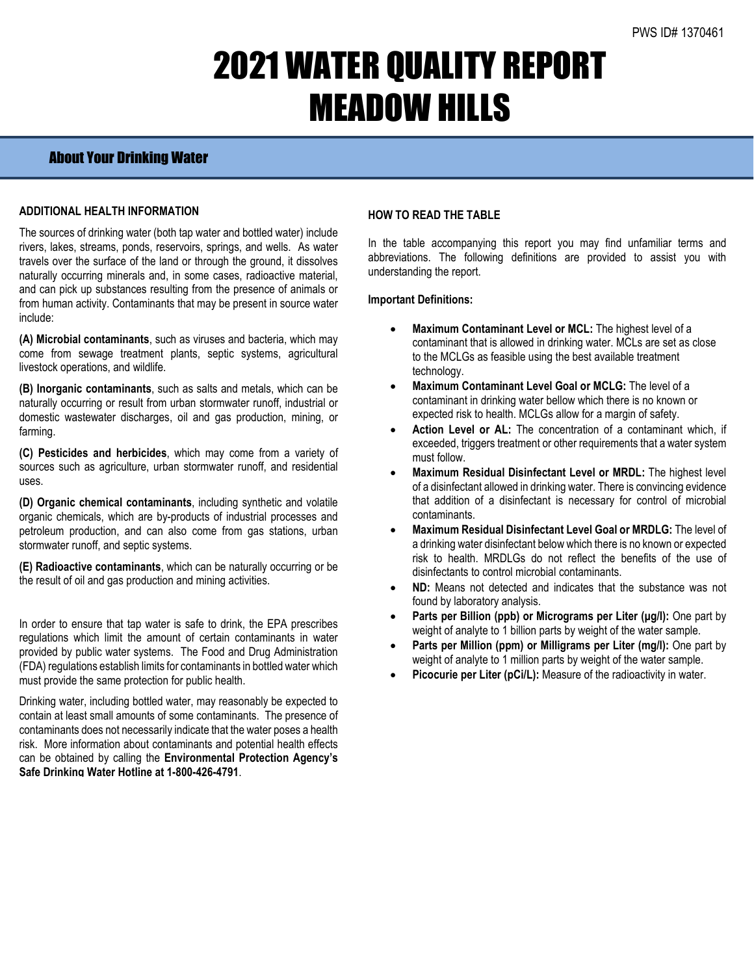# 2021 WATER QUALITY REPORT MEADOW HILLS

## About Your Drinking Water

### **ADDITIONAL HEALTH INFORMATION**

The sources of drinking water (both tap water and bottled water) include rivers, lakes, streams, ponds, reservoirs, springs, and wells. As water travels over the surface of the land or through the ground, it dissolves naturally occurring minerals and, in some cases, radioactive material, and can pick up substances resulting from the presence of animals or from human activity. Contaminants that may be present in source water include:

**(A) Microbial contaminants**, such as viruses and bacteria, which may come from sewage treatment plants, septic systems, agricultural livestock operations, and wildlife.

**(B) Inorganic contaminants**, such as salts and metals, which can be naturally occurring or result from urban stormwater runoff, industrial or domestic wastewater discharges, oil and gas production, mining, or farming.

**(C) Pesticides and herbicides**, which may come from a variety of sources such as agriculture, urban stormwater runoff, and residential uses.

**(D) Organic chemical contaminants**, including synthetic and volatile organic chemicals, which are by-products of industrial processes and petroleum production, and can also come from gas stations, urban stormwater runoff, and septic systems.

**(E) Radioactive contaminants**, which can be naturally occurring or be the result of oil and gas production and mining activities.

In order to ensure that tap water is safe to drink, the EPA prescribes regulations which limit the amount of certain contaminants in water provided by public water systems. The Food and Drug Administration (FDA) regulations establish limits for contaminants in bottled water which must provide the same protection for public health.

Drinking water, including bottled water, may reasonably be expected to contain at least small amounts of some contaminants. The presence of contaminants does not necessarily indicate that the water poses a health risk. More information about contaminants and potential health effects can be obtained by calling the **Environmental Protection Agency's Safe Drinking Water Hotline at 1-800-426-4791**.

### **HOW TO READ THE TABLE**

In the table accompanying this report you may find unfamiliar terms and abbreviations. The following definitions are provided to assist you with understanding the report.

#### **Important Definitions:**

- **Maximum Contaminant Level or MCL:** The highest level of a contaminant that is allowed in drinking water. MCLs are set as close to the MCLGs as feasible using the best available treatment technology.
- **Maximum Contaminant Level Goal or MCLG:** The level of a contaminant in drinking water bellow which there is no known or expected risk to health. MCLGs allow for a margin of safety.
- Action Level or AL: The concentration of a contaminant which, if exceeded, triggers treatment or other requirements that a water system must follow.
- **Maximum Residual Disinfectant Level or MRDL:** The highest level of a disinfectant allowed in drinking water. There is convincing evidence that addition of a disinfectant is necessary for control of microbial contaminants.
- **Maximum Residual Disinfectant Level Goal or MRDLG:** The level of a drinking water disinfectant below which there is no known or expected risk to health. MRDLGs do not reflect the benefits of the use of disinfectants to control microbial contaminants.
- **ND:** Means not detected and indicates that the substance was not found by laboratory analysis.
- **Parts per Billion (ppb) or Micrograms per Liter (μg/l):** One part by weight of analyte to 1 billion parts by weight of the water sample.
- **Parts per Million (ppm) or Milligrams per Liter (mg/l):** One part by weight of analyte to 1 million parts by weight of the water sample.
- **Picocurie per Liter (pCi/L):** Measure of the radioactivity in water.